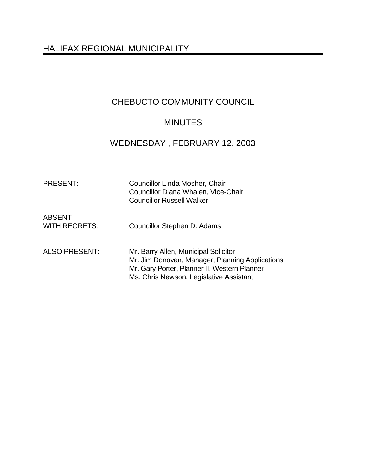# HALIFAX REGIONAL MUNICIPALITY

# CHEBUCTO COMMUNITY COUNCIL

# MINUTES

# WEDNESDAY , FEBRUARY 12, 2003

| <b>PRESENT:</b>                       | Councillor Linda Mosher, Chair<br>Councillor Diana Whalen, Vice-Chair<br><b>Councillor Russell Walker</b>                                                                          |
|---------------------------------------|------------------------------------------------------------------------------------------------------------------------------------------------------------------------------------|
| <b>ABSENT</b><br><b>WITH REGRETS:</b> | Councillor Stephen D. Adams                                                                                                                                                        |
| <b>ALSO PRESENT:</b>                  | Mr. Barry Allen, Municipal Solicitor<br>Mr. Jim Donovan, Manager, Planning Applications<br>Mr. Gary Porter, Planner II, Western Planner<br>Ms. Chris Newson, Legislative Assistant |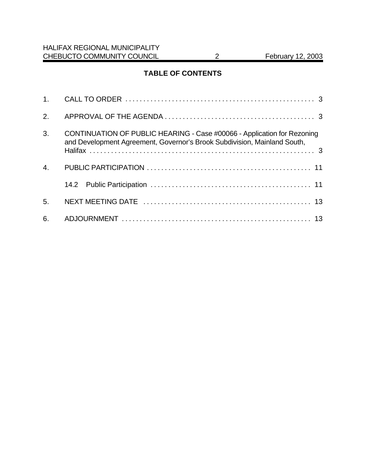## **TABLE OF CONTENTS**

| 2.             |                                                                                                                                                     |
|----------------|-----------------------------------------------------------------------------------------------------------------------------------------------------|
| 3.             | CONTINUATION OF PUBLIC HEARING - Case #00066 - Application for Rezoning<br>and Development Agreement, Governor's Brook Subdivision, Mainland South, |
| 4.             |                                                                                                                                                     |
|                |                                                                                                                                                     |
| 5 <sub>1</sub> |                                                                                                                                                     |
| 6.             |                                                                                                                                                     |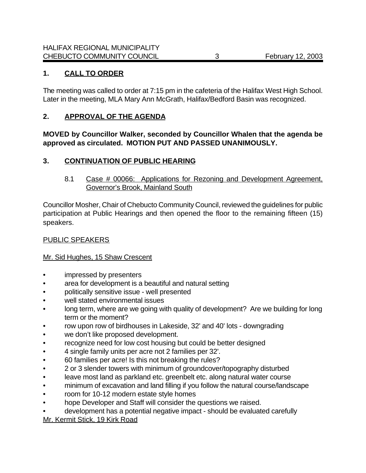## **1. CALL TO ORDER**

The meeting was called to order at 7:15 pm in the cafeteria of the Halifax West High School. Later in the meeting, MLA Mary Ann McGrath, Halifax/Bedford Basin was recognized.

#### **2. APPROVAL OF THE AGENDA**

#### **MOVED by Councillor Walker, seconded by Councillor Whalen that the agenda be approved as circulated. MOTION PUT AND PASSED UNANIMOUSLY.**

#### **3. CONTINUATION OF PUBLIC HEARING**

8.1 Case # 00066: Applications for Rezoning and Development Agreement, Governor's Brook, Mainland South

Councillor Mosher, Chair of Chebucto Community Council, reviewed the guidelines for public participation at Public Hearings and then opened the floor to the remaining fifteen (15) speakers.

## PUBLIC SPEAKERS

#### Mr. Sid Hughes, 15 Shaw Crescent

- impressed by presenters
- area for development is a beautiful and natural setting
- politically sensitive issue well presented
- well stated environmental issues
- long term, where are we going with quality of development? Are we building for long term or the moment?
- row upon row of birdhouses in Lakeside, 32' and 40' lots downgrading
- we don't like proposed development.
- recognize need for low cost housing but could be better designed
- 4 single family units per acre not 2 families per 32'.
- 60 families per acre! Is this not breaking the rules?
- 2 or 3 slender towers with minimum of groundcover/topography disturbed
- leave most land as parkland etc. greenbelt etc. along natural water course
- minimum of excavation and land filling if you follow the natural course/landscape
- room for 10-12 modern estate style homes
- hope Developer and Staff will consider the questions we raised.
- development has a potential negative impact should be evaluated carefully

Mr. Kermit Stick, 19 Kirk Road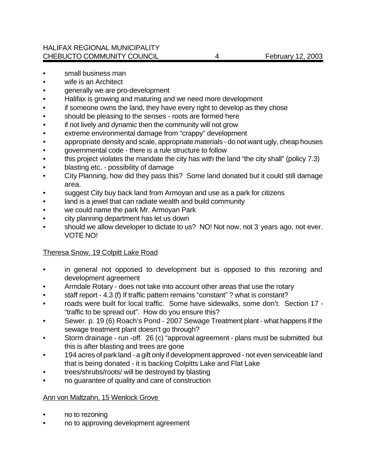- small business man
- wife is an Architect
- generally we are pro-development
- Halifax is growing and maturing and we need more development
- if someone owns the land, they have every right to develop as they chose
- should be pleasing to the senses roots are formed here
- if not lively and dynamic then the community will not grow
- extreme environmental damage from "crappy" development
- appropriate density and scale, appropriate materials do not want ugly, cheap houses
- governmental code there is a rule structure to follow
- this project violates the mandate the city has with the land "the city shall" (policy 7.3)
- blasting etc. possibility of damage
- City Planning, how did they pass this? Some land donated but it could still damage area.
- suggest City buy back land from Armoyan and use as a park for citizens
- land is a jewel that can radiate wealth and build community
- we could name the park Mr. Armoyan Park
- city planning department has let us down
- should we allow developer to dictate to us? NO! Not now, not 3 years ago, not ever. VOTE NO!

## Theresa Snow, 19 Colpitt Lake Road

- in general not opposed to development but is opposed to this rezoning and development agreement
- Armdale Rotary does not take into account other areas that use the rotary
- staff report 4.3 (f) If traffic pattern remains "constant" ? what is constant?
- roads were built for local traffic. Some have sidewalks, some don't. Section 17 "traffic to be spread out". How do you ensure this?
- Sewer. p. 19 (6) Roach's Pond 2007 Sewage Treatment plant what happens if the sewage treatment plant doesn't go through?
- Storm drainage run -off. 26 (c) "approval agreement plans must be submitted but this is after blasting and trees are gone
- 194 acres of park land a gift only if development approved not even serviceable land that is being donated - it is backing Colpitts Lake and Flat Lake
- trees/shrubs/roots/ will be destroyed by blasting
- no guarantee of quality and care of construction

#### Ann von Maltzahn, 15 Wenlock Grove

- no to rezoning
- no to approving development agreement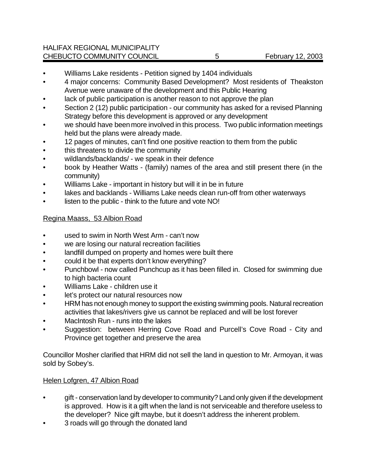- Williams Lake residents Petition signed by 1404 individuals
- 4 major concerns: Community Based Development? Most residents of Theakston Avenue were unaware of the development and this Public Hearing
- lack of public participation is another reason to not approve the plan
- Section 2 (12) public participation our community has asked for a revised Planning Strategy before this development is approved or any development
- we should have been more involved in this process. Two public information meetings held but the plans were already made.
- 12 pages of minutes, can't find one positive reaction to them from the public
- this threatens to divide the community
- wildlands/backlands/ we speak in their defence
- book by Heather Watts (family) names of the area and still present there (in the community)
- Williams Lake important in history but will it in be in future
- lakes and backlands Williams Lake needs clean run-off from other waterways
- listen to the public think to the future and vote NO!

## Regina Maass, 53 Albion Road

- used to swim in North West Arm can't now
- we are losing our natural recreation facilities
- landfill dumped on property and homes were built there
- could it be that experts don't know everything?
- Punchbowl now called Punchcup as it has been filled in. Closed for swimming due to high bacteria count
- Williams Lake children use it
- let's protect our natural resources now
- HRM has not enough money to support the existing swimming pools. Natural recreation activities that lakes/rivers give us cannot be replaced and will be lost forever
- MacIntosh Run runs into the lakes
- Suggestion: between Herring Cove Road and Purcell's Cove Road City and Province get together and preserve the area

Councillor Mosher clarified that HRM did not sell the land in question to Mr. Armoyan, it was sold by Sobey's.

## Helen Lofgren, 47 Albion Road

- gift conservation land by developer to community? Land only given if the development is approved. How is it a gift when the land is not serviceable and therefore useless to the developer? Nice gift maybe, but it doesn't address the inherent problem.
- 3 roads will go through the donated land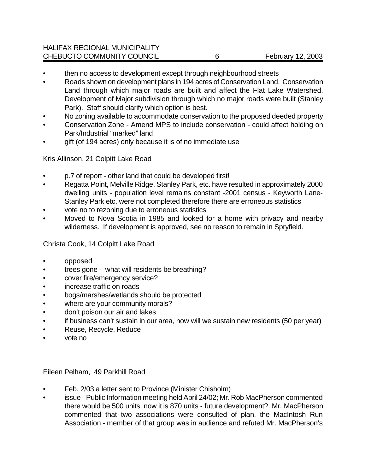- then no access to development except through neighbourhood streets
- Roads shown on development plans in 194 acres of Conservation Land. Conservation Land through which major roads are built and affect the Flat Lake Watershed. Development of Major subdivision through which no major roads were built (Stanley Park). Staff should clarify which option is best.
- No zoning available to accommodate conservation to the proposed deeded property
- Conservation Zone Amend MPS to include conservation could affect holding on Park/Industrial "marked" land
- gift (of 194 acres) only because it is of no immediate use

#### Kris Allinson, 21 Colpitt Lake Road

- p.7 of report other land that could be developed first!
- Regatta Point, Melville Ridge, Stanley Park, etc. have resulted in approximately 2000 dwelling units - population level remains constant -2001 census - Keyworth Lane-Stanley Park etc. were not completed therefore there are erroneous statistics
- vote no to rezoning due to erroneous statistics
- Moved to Nova Scotia in 1985 and looked for a home with privacy and nearby wilderness. If development is approved, see no reason to remain in Spryfield.

## Christa Cook, 14 Colpitt Lake Road

- opposed
- trees gone what will residents be breathing?
- cover fire/emergency service?
- increase traffic on roads
- bogs/marshes/wetlands should be protected
- where are your community morals?
- don't poison our air and lakes
- if business can't sustain in our area, how will we sustain new residents (50 per year)
- Reuse, Recycle, Reduce
- vote no

#### Eileen Pelham, 49 Parkhill Road

- Feb. 2/03 a letter sent to Province (Minister Chisholm)
- issue Public Information meeting held April 24/02; Mr. Rob MacPherson commented there would be 500 units, now it is 870 units - future development? Mr. MacPherson commented that two associations were consulted of plan, the MacIntosh Run Association - member of that group was in audience and refuted Mr. MacPherson's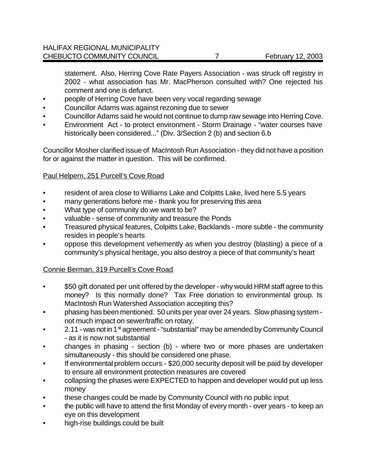statement. Also, Herring Cove Rate Payers Association - was struck off registry in 2002 - what association has Mr. MacPherson consulted with? One rejected his comment and one is defunct.

- people of Herring Cove have been very vocal regarding sewage
- Councillor Adams was against rezoning due to sewer
- Councillor Adams said he would not continue to dump raw sewage into Herring Cove.
- Environment Act to protect environment Storm Drainage "water courses have historically been considered..." (Div. 3/Section 2 (b) and section 6.b

Councillor Mosher clarified issue of MacIntosh Run Association - they did not have a position for or against the matter in question. This will be confirmed.

## Paul Helpern, 251 Purcell's Cove Road

- resident of area close to Williams Lake and Colpitts Lake, lived here 5.5 years
- many generations before me thank you for preserving this area
- What type of community do we want to be?
- valuable sense of community and treasure the Ponds
- Treasured physical features, Colpitts Lake, Backlands more subtle the community resides in people's hearts
- oppose this development vehemently as when you destroy (blasting) a piece of a community's physical heritage, you also destroy a piece of that community's heart

## Connie Berman, 319 Purcell's Cove Road

- \$50 gift donated per unit offered by the developer why would HRM staff agree to this money? Is this normally done? Tax Free donation to environmental group. Is MacIntosh Run Watershed Association accepting this?
- phasing has been mentioned. 50 units per year over 24 years. Slow phasing system not much impact on sewer/traffic on rotary.
- $\sim$  2.11 was not in 1 $\mathrm{st}$  agreement "substantial" may be amended by Community Council - as it is now not substantial
- changes in phasing section (b) where two or more phases are undertaken simultaneously - this should be considered one phase.
- If environmental problem occurs \$20,000 security deposit will be paid by developer to ensure all environment protection measures are covered
- collapsing the phases were EXPECTED to happen and developer would put up less money
- these changes could be made by Community Council with no public input
- the public will have to attend the first Monday of every month over years to keep an eye on this development
- high-rise buildings could be built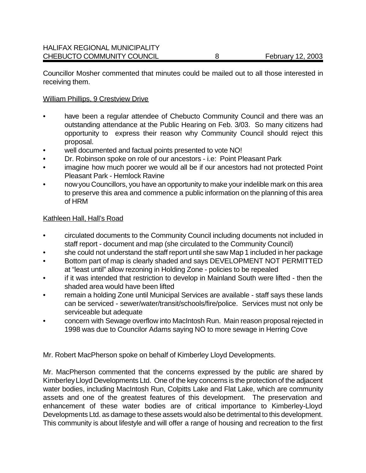Councillor Mosher commented that minutes could be mailed out to all those interested in receiving them.

#### William Phillips, 9 Crestview Drive

- have been a regular attendee of Chebucto Community Council and there was an outstanding attendance at the Public Hearing on Feb. 3/03. So many citizens had opportunity to express their reason why Community Council should reject this proposal.
- well documented and factual points presented to vote NO!
- Dr. Robinson spoke on role of our ancestors i.e: Point Pleasant Park
- imagine how much poorer we would all be if our ancestors had not protected Point Pleasant Park - Hemlock Ravine
- now you Councillors, you have an opportunity to make your indelible mark on this area to preserve this area and commence a public information on the planning of this area of HRM

#### Kathleen Hall, Hall's Road

- circulated documents to the Community Council including documents not included in staff report - document and map (she circulated to the Community Council)
- she could not understand the staff report until she saw Map 1 included in her package
- Bottom part of map is clearly shaded and says DEVELOPMENT NOT PERMITTED at "least until" allow rezoning in Holding Zone - policies to be repealed
- if it was intended that restriction to develop in Mainland South were lifted then the shaded area would have been lifted
- remain a holding Zone until Municipal Services are available staff says these lands can be serviced - sewer/water/transit/schools/fire/police. Services must not only be serviceable but adequate
- concern with Sewage overflow into MacIntosh Run. Main reason proposal rejected in 1998 was due to Councilor Adams saying NO to more sewage in Herring Cove

Mr. Robert MacPherson spoke on behalf of Kimberley Lloyd Developments.

Mr. MacPherson commented that the concerns expressed by the public are shared by Kimberley Lloyd Developments Ltd. One of the key concerns is the protection of the adjacent water bodies, including MacIntosh Run, Colpitts Lake and Flat Lake, which are community assets and one of the greatest features of this development. The preservation and enhancement of these water bodies are of critical importance to Kimberley-Lloyd Developments Ltd. as damage to these assets would also be detrimental to this development. This community is about lifestyle and will offer a range of housing and recreation to the first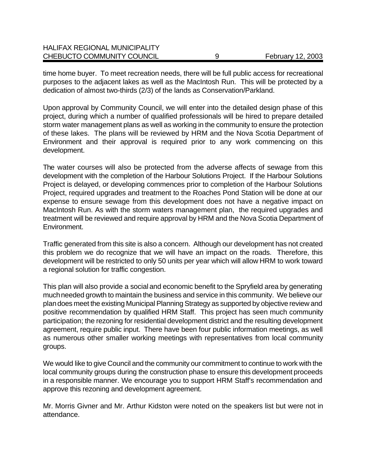| <b>HALIFAX REGIONAL MUNICIPALITY</b> |                   |
|--------------------------------------|-------------------|
| CHEBUCTO COMMUNITY COUNCIL           | February 12, 2003 |

time home buyer. To meet recreation needs, there will be full public access for recreational purposes to the adjacent lakes as well as the MacIntosh Run. This will be protected by a dedication of almost two-thirds (2/3) of the lands as Conservation/Parkland.

Upon approval by Community Council, we will enter into the detailed design phase of this project, during which a number of qualified professionals will be hired to prepare detailed storm water management plans as well as working in the community to ensure the protection of these lakes. The plans will be reviewed by HRM and the Nova Scotia Department of Environment and their approval is required prior to any work commencing on this development.

The water courses will also be protected from the adverse affects of sewage from this development with the completion of the Harbour Solutions Project. If the Harbour Solutions Project is delayed, or developing commences prior to completion of the Harbour Solutions Project, required upgrades and treatment to the Roaches Pond Station will be done at our expense to ensure sewage from this development does not have a negative impact on MacIntosh Run. As with the storm waters management plan, the required upgrades and treatment will be reviewed and require approval by HRM and the Nova Scotia Department of Environment.

Traffic generated from this site is also a concern. Although our development has not created this problem we do recognize that we will have an impact on the roads. Therefore, this development will be restricted to only 50 units per year which will allow HRM to work toward a regional solution for traffic congestion.

This plan will also provide a social and economic benefit to the Spryfield area by generating much needed growth to maintain the business and service in this community. We believe our plan does meet the existing Municipal Planning Strategy as supported by objective review and positive recommendation by qualified HRM Staff. This project has seen much community participation; the rezoning for residential development district and the resulting development agreement, require public input. There have been four public information meetings, as well as numerous other smaller working meetings with representatives from local community groups.

We would like to give Council and the community our commitment to continue to work with the local community groups during the construction phase to ensure this development proceeds in a responsible manner. We encourage you to support HRM Staff's recommendation and approve this rezoning and development agreement.

Mr. Morris Givner and Mr. Arthur Kidston were noted on the speakers list but were not in attendance.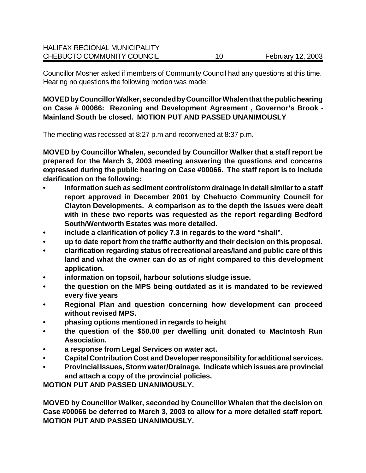Councillor Mosher asked if members of Community Council had any questions at this time. Hearing no questions the following motion was made:

**MOVED by Councillor Walker, seconded by Councillor Whalen that the public hearing on Case # 00066: Rezoning and Development Agreement , Governor's Brook - Mainland South be closed. MOTION PUT AND PASSED UNANIMOUSLY**

The meeting was recessed at 8:27 p.m and reconvened at 8:37 p.m.

**MOVED by Councillor Whalen, seconded by Councillor Walker that a staff report be prepared for the March 3, 2003 meeting answering the questions and concerns expressed during the public hearing on Case #00066. The staff report is to include clarification on the following:**

- **• information such as sediment control/storm drainage in detail similar to a staff report approved in December 2001 by Chebucto Community Council for Clayton Developments. A comparison as to the depth the issues were dealt with in these two reports was requested as the report regarding Bedford South/Wentworth Estates was more detailed.**
- **• include a clarification of policy 7.3 in regards to the word "shall".**
- **• up to date report from the traffic authority and their decision on this proposal.**
- **• clarification regarding status of recreational areas/land and public care of this land and what the owner can do as of right compared to this development application.**
- **• information on topsoil, harbour solutions sludge issue.**
- **• the question on the MPS being outdated as it is mandated to be reviewed every five years**
- **• Regional Plan and question concerning how development can proceed without revised MPS.**
- **• phasing options mentioned in regards to height**
- **• the question of the \$50.00 per dwelling unit donated to MacIntosh Run Association.**
- **• a response from Legal Services on water act.**
- **• Capital Contribution Cost and Developer responsibility for additional services.**
- **• Provincial Issues, Storm water/Drainage. Indicate which issues are provincial and attach a copy of the provincial policies.**

**MOTION PUT AND PASSED UNANIMOUSLY.**

**MOVED by Councillor Walker, seconded by Councillor Whalen that the decision on Case #00066 be deferred to March 3, 2003 to allow for a more detailed staff report. MOTION PUT AND PASSED UNANIMOUSLY.**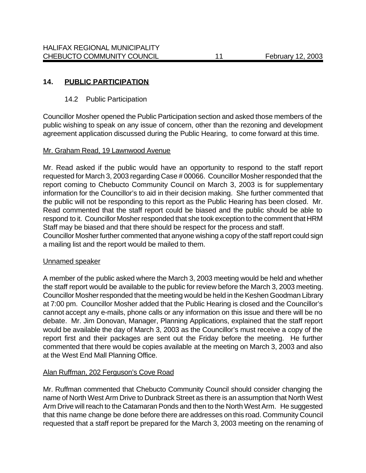## **14. PUBLIC PARTICIPATION**

## 14.2 Public Participation

Councillor Mosher opened the Public Participation section and asked those members of the public wishing to speak on any issue of concern, other than the rezoning and development agreement application discussed during the Public Hearing, to come forward at this time.

## Mr. Graham Read, 19 Lawnwood Avenue

Mr. Read asked if the public would have an opportunity to respond to the staff report requested for March 3, 2003 regarding Case # 00066. Councillor Mosher responded that the report coming to Chebucto Community Council on March 3, 2003 is for supplementary information for the Councillor's to aid in their decision making. She further commented that the public will not be responding to this report as the Public Hearing has been closed. Mr. Read commented that the staff report could be biased and the public should be able to respond to it. Councillor Mosher responded that she took exception to the comment that HRM Staff may be biased and that there should be respect for the process and staff.

Councillor Mosher further commented that anyone wishing a copy of the staff report could sign a mailing list and the report would be mailed to them.

#### Unnamed speaker

A member of the public asked where the March 3, 2003 meeting would be held and whether the staff report would be available to the public for review before the March 3, 2003 meeting. Councillor Mosher responded that the meeting would be held in the Keshen Goodman Library at 7:00 pm. Councillor Mosher added that the Public Hearing is closed and the Councillor's cannot accept any e-mails, phone calls or any information on this issue and there will be no debate. Mr. Jim Donovan, Manager, Planning Applications, explained that the staff report would be available the day of March 3, 2003 as the Councillor's must receive a copy of the report first and their packages are sent out the Friday before the meeting. He further commented that there would be copies available at the meeting on March 3, 2003 and also at the West End Mall Planning Office.

## Alan Ruffman, 202 Ferguson's Cove Road

Mr. Ruffman commented that Chebucto Community Council should consider changing the name of North West Arm Drive to Dunbrack Street as there is an assumption that North West Arm Drive will reach to the Catamaran Ponds and then to the North West Arm. He suggested that this name change be done before there are addresses on this road. Community Council requested that a staff report be prepared for the March 3, 2003 meeting on the renaming of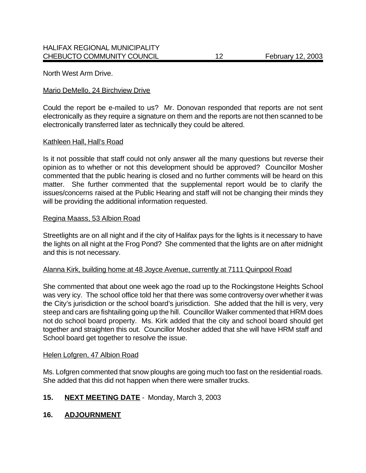North West Arm Drive.

#### Mario DeMello, 24 Birchview Drive

Could the report be e-mailed to us? Mr. Donovan responded that reports are not sent electronically as they require a signature on them and the reports are not then scanned to be electronically transferred later as technically they could be altered.

#### Kathleen Hall, Hall's Road

Is it not possible that staff could not only answer all the many questions but reverse their opinion as to whether or not this development should be approved? Councillor Mosher commented that the public hearing is closed and no further comments will be heard on this matter. She further commented that the supplemental report would be to clarify the issues/concerns raised at the Public Hearing and staff will not be changing their minds they will be providing the additional information requested.

#### Regina Maass, 53 Albion Road

Streetlights are on all night and if the city of Halifax pays for the lights is it necessary to have the lights on all night at the Frog Pond? She commented that the lights are on after midnight and this is not necessary.

#### Alanna Kirk, building home at 48 Joyce Avenue, currently at 7111 Quinpool Road

She commented that about one week ago the road up to the Rockingstone Heights School was very icy. The school office told her that there was some controversy over whether it was the City's jurisdiction or the school board's jurisdiction. She added that the hill is very, very steep and cars are fishtailing going up the hill. Councillor Walker commented that HRM does not do school board property. Ms. Kirk added that the city and school board should get together and straighten this out. Councillor Mosher added that she will have HRM staff and School board get together to resolve the issue.

#### Helen Lofgren, 47 Albion Road

Ms. Lofgren commented that snow ploughs are going much too fast on the residential roads. She added that this did not happen when there were smaller trucks.

## **15. NEXT MEETING DATE** - Monday, March 3, 2003

#### **16. ADJOURNMENT**